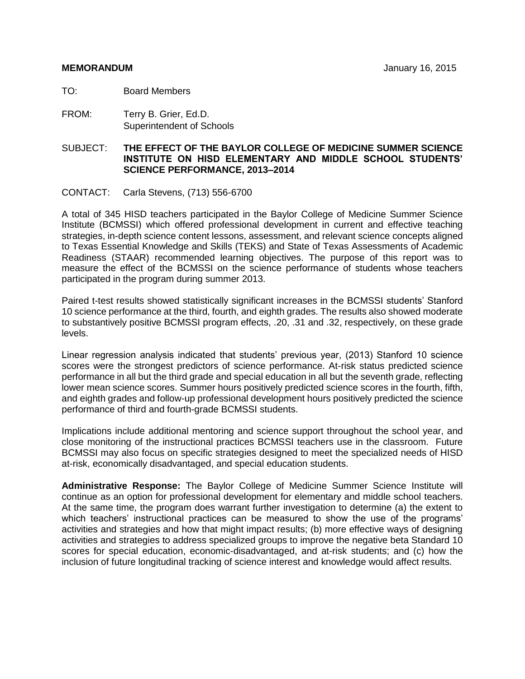TO: Board Members

FROM: Terry B. Grier, Ed.D. Superintendent of Schools

SUBJECT: **THE EFFECT OF THE BAYLOR COLLEGE OF MEDICINE SUMMER SCIENCE INSTITUTE ON HISD ELEMENTARY AND MIDDLE SCHOOL STUDENTS' SCIENCE PERFORMANCE, 2013–2014**

CONTACT: Carla Stevens, (713) 556-6700

A total of 345 HISD teachers participated in the Baylor College of Medicine Summer Science Institute (BCMSSI) which offered professional development in current and effective teaching strategies, in-depth science content lessons, assessment, and relevant science concepts aligned to Texas Essential Knowledge and Skills (TEKS) and State of Texas Assessments of Academic Readiness (STAAR) recommended learning objectives. The purpose of this report was to measure the effect of the BCMSSI on the science performance of students whose teachers participated in the program during summer 2013.

Paired t-test results showed statistically significant increases in the BCMSSI students' Stanford 10 science performance at the third, fourth, and eighth grades. The results also showed moderate to substantively positive BCMSSI program effects, .20, .31 and .32, respectively, on these grade levels.

Linear regression analysis indicated that students' previous year, (2013) Stanford 10 science scores were the strongest predictors of science performance. At-risk status predicted science performance in all but the third grade and special education in all but the seventh grade, reflecting lower mean science scores. Summer hours positively predicted science scores in the fourth, fifth, and eighth grades and follow-up professional development hours positively predicted the science performance of third and fourth-grade BCMSSI students.

Implications include additional mentoring and science support throughout the school year, and close monitoring of the instructional practices BCMSSI teachers use in the classroom. Future BCMSSI may also focus on specific strategies designed to meet the specialized needs of HISD at-risk, economically disadvantaged, and special education students.

**Administrative Response:** The Baylor College of Medicine Summer Science Institute will continue as an option for professional development for elementary and middle school teachers. At the same time, the program does warrant further investigation to determine (a) the extent to which teachers' instructional practices can be measured to show the use of the programs' activities and strategies and how that might impact results; (b) more effective ways of designing activities and strategies to address specialized groups to improve the negative beta Standard 10 scores for special education, economic-disadvantaged, and at-risk students; and (c) how the inclusion of future longitudinal tracking of science interest and knowledge would affect results.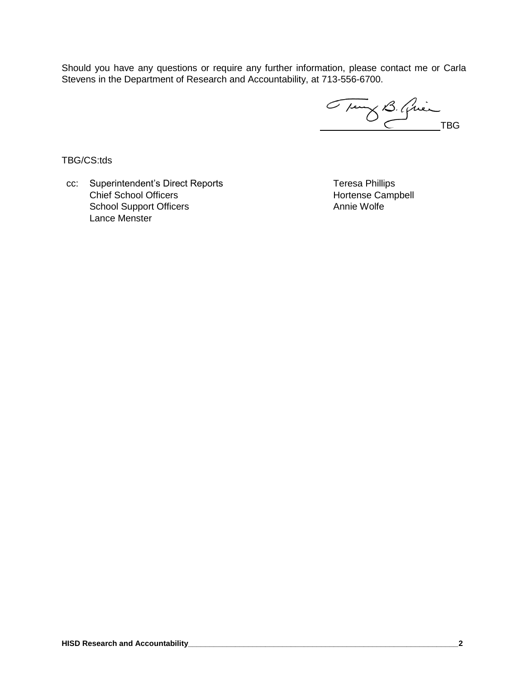Should you have any questions or require any further information, please contact me or Carla Stevens in the Department of Research and Accountability, at 713-556-6700.

Trung B. Quinc

TBG/CS:tds

cc: Superintendent's Direct Reports Teresa Phillips Chief School Officers **Hortense Campbell** School Support Officers Lance Menster

Annie Wolfe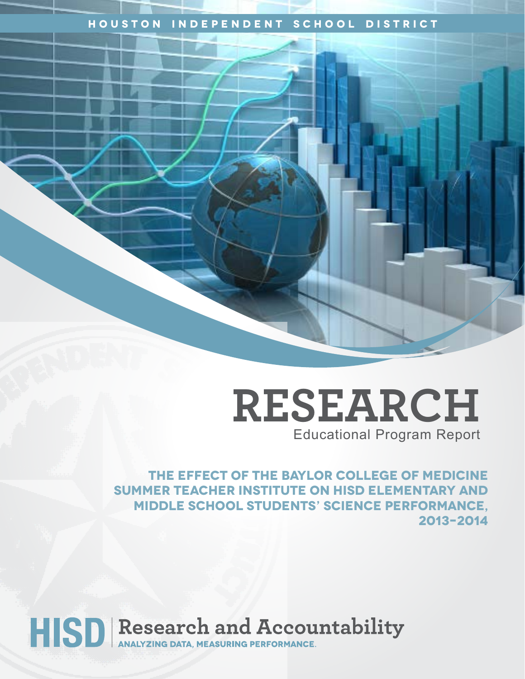## **Houston Independent School District**



**The effect of the Baylor College of Medicine Summer Teacher Institute on HISD elementary and middle school students' science performance, 2013–2014**

HISD Research and Accountability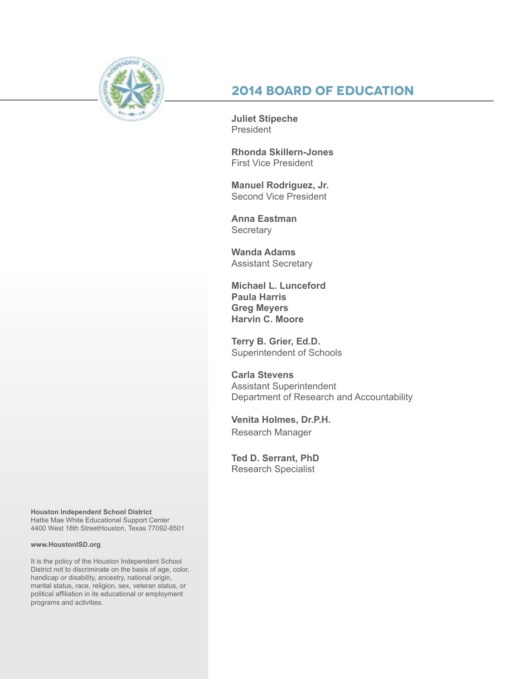

# **2014 Board of Education**

**Juliet Stipeche** President

**Rhonda Skillern-Jones** First Vice President

**Manuel Rodriguez, Jr.** Second Vice President

**Anna Eastman Secretary** 

**Wanda Adams** Assistant Secretary

**Michael L. Lunceford Paula Harris Greg Meyers Harvin C. Moore**

**Terry B. Grier, Ed.D.** Superintendent of Schools

**Carla Stevens** Assistant Superintendent Department of Research and Accountability

**Venita Holmes, Dr.P.H.** Research Manager

**Ted D. Serrant, PhD** Research Specialist

**Houston Independent School District** Hattie Mae White Educational Support Center 4400 West 18th StreetHouston, Texas 77092-8501

#### **www.HoustonISD.org**

It is the policy of the Houston Independent School District not to discriminate on the basis of age, color, handicap or disability, ancestry, national origin, marital status, race, religion, sex, veteran status, or political affiliation in its educational or employment programs and activities.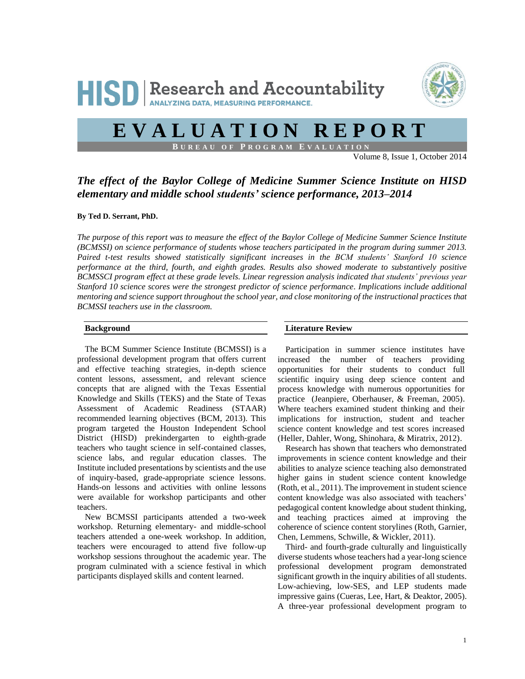

# **E V A L U A T I O N R E P O R T**

**B U R E A U O F P R O G R A M E V A L U A T I O N**

Volume 8, Issue 1, October 2014

### *The effect of the Baylor College of Medicine Summer Science Institute on HISD elementary and middle school students' science performance, 2013–2014*

#### **By Ted D. Serrant, PhD.**

*The purpose of this report was to measure the effect of the Baylor College of Medicine Summer Science Institute (BCMSSI) on science performance of students whose teachers participated in the program during summer 2013. Paired t-test results showed statistically significant increases in the BCM students' Stanford 10 science performance at the third, fourth, and eighth grades. Results also showed moderate to substantively positive BCMSSCI program effect at these grade levels. Linear regression analysis indicated that students' previous year Stanford 10 science scores were the strongest predictor of science performance. Implications include additional mentoring and science support throughout the school year, and close monitoring of the instructional practices that BCMSSI teachers use in the classroom.*

#### **Background**

The BCM Summer Science Institute (BCMSSI) is a professional development program that offers current and effective teaching strategies, in-depth science content lessons, assessment, and relevant science concepts that are aligned with the Texas Essential Knowledge and Skills (TEKS) and the State of Texas Assessment of Academic Readiness (STAAR) recommended learning objectives (BCM, 2013). This program targeted the Houston Independent School District (HISD) prekindergarten to eighth-grade teachers who taught science in self-contained classes, science labs, and regular education classes. The Institute included presentations by scientists and the use of inquiry-based, grade-appropriate science lessons. Hands-on lessons and activities with online lessons were available for workshop participants and other teachers.

New BCMSSI participants attended a two-week workshop. Returning elementary- and middle-school teachers attended a one-week workshop. In addition, teachers were encouraged to attend five follow-up workshop sessions throughout the academic year. The program culminated with a science festival in which participants displayed skills and content learned.

#### **Literature Review**

Participation in summer science institutes have increased the number of teachers providing opportunities for their students to conduct full scientific inquiry using deep science content and process knowledge with numerous opportunities for practice (Jeanpiere, Oberhauser, & Freeman, 2005). Where teachers examined student thinking and their implications for instruction, student and teacher science content knowledge and test scores increased (Heller, Dahler, Wong, Shinohara, & Miratrix, 2012).

Research has shown that teachers who demonstrated improvements in science content knowledge and their abilities to analyze science teaching also demonstrated higher gains in student science content knowledge (Roth, et al., 2011). The improvement in student science content knowledge was also associated with teachers' pedagogical content knowledge about student thinking, and teaching practices aimed at improving the coherence of science content storylines (Roth, Garnier, Chen, Lemmens, Schwille, & Wickler, 2011).

Third- and fourth-grade culturally and linguistically diverse students whose teachers had a year-long science professional development program demonstrated significant growth in the inquiry abilities of all students. Low-achieving, low-SES, and LEP students made impressive gains (Cueras, Lee, Hart, & Deaktor, 2005). A three-year professional development program to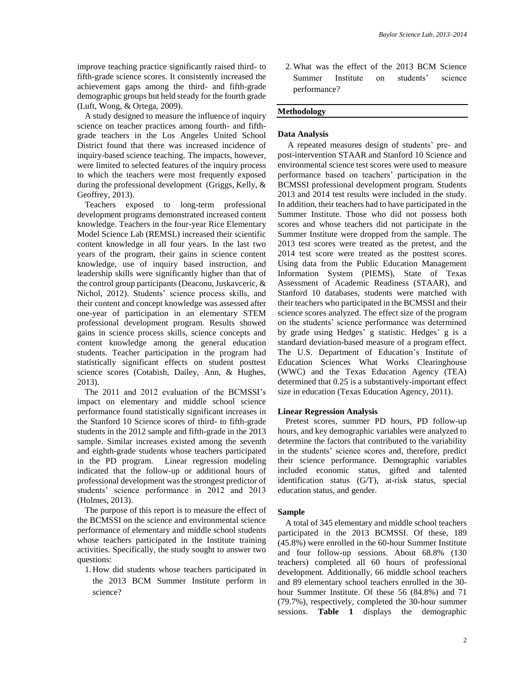improve teaching practice significantly raised third- to fifth-grade science scores. It consistently increased the achievement gaps among the third- and fifth-grade demographic groups but held steady for the fourth grade (Luft, Wong, & Ortega, 2009).

A study designed to measure the influence of inquiry science on teacher practices among fourth- and fifthgrade teachers in the Los Angeles United School District found that there was increased incidence of inquiry-based science teaching. The impacts, however, were limited to selected features of the inquiry process to which the teachers were most frequently exposed during the professional development (Griggs, Kelly, & Geoffrey, 2013).

Teachers exposed to long-term professional development programs demonstrated increased content knowledge. Teachers in the four-year Rice Elementary Model Science Lab (REMSL) increased their scientific content knowledge in all four years. In the last two years of the program, their gains in science content knowledge, use of inquiry based instruction, and leadership skills were significantly higher than that of the control group participants (Deaconu, Juskavceric, & Nichol, 2012). Students' science process skills, and their content and concept knowledge was assessed after one-year of participation in an elementary STEM professional development program. Results showed gains in science process skills, science concepts and content knowledge among the general education students. Teacher participation in the program had statistically significant effects on student posttest science scores (Cotabish, Dailey, Ann, & Hughes, 2013).

The 2011 and 2012 evaluation of the BCMSSI's impact on elementary and middle school science performance found statistically significant increases in the Stanford 10 Science scores of third- to fifth-grade students in the 2012 sample and fifth-grade in the 2013 sample. Similar increases existed among the seventh and eighth-grade students whose teachers participated in the PD program. Linear regression modeling indicated that the follow-up or additional hours of professional development was the strongest predictor of students' science performance in 2012 and 2013 (Holmes, 2013).

The purpose of this report is to measure the effect of the BCMSSI on the science and environmental science performance of elementary and middle school students whose teachers participated in the Institute training activities. Specifically, the study sought to answer two questions:

1. How did students whose teachers participated in the 2013 BCM Summer Institute perform in science?

2.What was the effect of the 2013 BCM Science Summer Institute on students' science performance?

#### **Methodology**

#### **Data Analysis**

A repeated measures design of students' pre- and post-intervention STAAR and Stanford 10 Science and environmental science test scores were used to measure performance based on teachers' participation in the BCMSSI professional development program. Students 2013 and 2014 test results were included in the study. In addition, their teachers had to have participated in the Summer Institute. Those who did not possess both scores and whose teachers did not participate in the Summer Institute were dropped from the sample. The 2013 test scores were treated as the pretest, and the 2014 test score were treated as the posttest scores. Using data from the Public Education Management Information System (PIEMS), State of Texas Assessment of Academic Readiness (STAAR), and Stanford 10 databases, students were matched with their teachers who participated in the BCMSSI and their science scores analyzed. The effect size of the program on the students' science performance was determined by grade using Hedges' g statistic. Hedges' g is a standard deviation-based measure of a program effect. The U.S. Department of Education's Institute of Education Sciences What Works Clearinghouse (WWC) and the Texas Education Agency (TEA) determined that 0.25 is a substantively-important effect size in education (Texas Education Agency, 2011).

#### **Linear Regression Analysis**

Pretest scores, summer PD hours, PD follow-up hours, and key demographic variables were analyzed to determine the factors that contributed to the variability in the students' science scores and, therefore, predict their science performance. Demographic variables included economic status, gifted and talented identification status (G/T), at-risk status, special education status, and gender.

#### **Sample**

A total of 345 elementary and middle school teachers participated in the 2013 BCMSSI. Of these, 189 (45.8%) were enrolled in the 60-hour Summer Institute and four follow-up sessions. About 68.8% (130 teachers) completed all 60 hours of professional development. Additionally, 66 middle school teachers and 89 elementary school teachers enrolled in the 30 hour Summer Institute. Of these 56 (84.8%) and 71 (79.7%), respectively, completed the 30-hour summer sessions. **Table 1** displays the demographic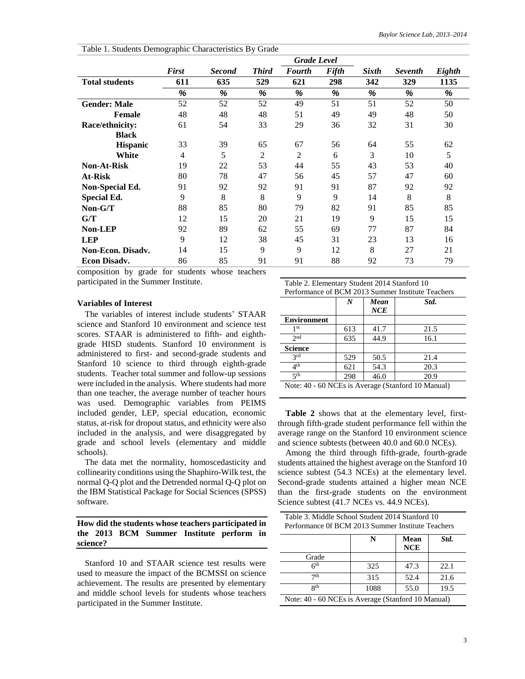|                          |              |               |                | <b>Grade Level</b> |       |              |                |        |
|--------------------------|--------------|---------------|----------------|--------------------|-------|--------------|----------------|--------|
|                          | <b>First</b> | <b>Second</b> | <b>Third</b>   | <b>Fourth</b>      | Fifth | <b>Sixth</b> | <b>Seventh</b> | Eighth |
| <b>Total students</b>    | 611          | 635           | 529            | 621                | 298   | 342          | 329            | 1135   |
|                          | %            | %             | %              | %                  | %     | %            | %              | %      |
| <b>Gender: Male</b>      | 52           | 52            | 52             | 49                 | 51    | 51           | 52             | 50     |
| <b>Female</b>            | 48           | 48            | 48             | 51                 | 49    | 49           | 48             | 50     |
| Race/ethnicity:          | 61           | 54            | 33             | 29                 | 36    | 32           | 31             | 30     |
| <b>Black</b>             |              |               |                |                    |       |              |                |        |
| <b>Hispanic</b>          | 33           | 39            | 65             | 67                 | 56    | 64           | 55             | 62     |
| White                    | 4            | 5             | $\overline{2}$ | 2                  | 6     | 3            | 10             | 5      |
| <b>Non-At-Risk</b>       | 19           | 22            | 53             | 44                 | 55    | 43           | 53             | 40     |
| At-Risk                  | 80           | 78            | 47             | 56                 | 45    | 57           | 47             | 60     |
| Non-Special Ed.          | 91           | 92            | 92             | 91                 | 91    | 87           | 92             | 92     |
| Special Ed.              | 9            | 8             | 8              | 9                  | 9     | 14           | 8              | 8      |
| Non-G/T                  | 88           | 85            | 80             | 79                 | 82    | 91           | 85             | 85     |
| G/T                      | 12           | 15            | 20             | 21                 | 19    | 9            | 15             | 15     |
| <b>Non-LEP</b>           | 92           | 89            | 62             | 55                 | 69    | 77           | 87             | 84     |
| <b>LEP</b>               | 9            | 12            | 38             | 45                 | 31    | 23           | 13             | 16     |
| <b>Non-Econ. Disadv.</b> | 14           | 15            | 9              | 9                  | 12    | 8            | 27             | 21     |
| <b>Econ Disady.</b>      | 86           | 85            | 91             | 91                 | 88    | 92           | 73             | 79     |

Table 1. Students Demographic Characteristics By Grade

composition by grade for students whose teachers participated in the Summer Institute.

#### **Variables of Interest**

The variables of interest include students' STAAR science and Stanford 10 environment and science test scores. STAAR is administered to fifth- and eighthgrade HISD students. Stanford 10 environment is administered to first- and second-grade students and Stanford 10 science to third through eighth-grade students. Teacher total summer and follow-up sessions were included in the analysis. Where students had more than one teacher, the average number of teacher hours was used. Demographic variables from PEIMS included gender, LEP, special education, economic status, at-risk for dropout status, and ethnicity were also included in the analysis, and were disaggregated by grade and school levels (elementary and middle schools).

The data met the normality, homoscedasticity and collinearity conditions using the Shaphiro-Wilk test, the normal Q-Q plot and the Detrended normal Q-Q plot on the IBM Statistical Package for Social Sciences (SPSS) software.

#### **How did the students whose teachers participated in the 2013 BCM Summer Institute perform in science?**

Stanford 10 and STAAR science test results were used to measure the impact of the BCMSSI on science achievement. The results are presented by elementary and middle school levels for students whose teachers participated in the Summer Institute.

| Table 2. Elementary Student 2014 Stanford 10       |                                         |      |      |  |  |  |  |  |  |
|----------------------------------------------------|-----------------------------------------|------|------|--|--|--|--|--|--|
| Performance of BCM 2013 Summer Institute Teachers  |                                         |      |      |  |  |  |  |  |  |
|                                                    | Std.<br>$\boldsymbol{N}$<br>Mean<br>NCE |      |      |  |  |  |  |  |  |
| <b>Environment</b>                                 |                                         |      |      |  |  |  |  |  |  |
| 1 <sup>st</sup>                                    | 613                                     | 41.7 | 21.5 |  |  |  |  |  |  |
| 2 <sub>nd</sub>                                    | 635                                     | 44.9 | 16.1 |  |  |  |  |  |  |
| <b>Science</b>                                     |                                         |      |      |  |  |  |  |  |  |
| 2rd                                                | 529                                     | 50.5 | 21.4 |  |  |  |  |  |  |
| 4 <sup>th</sup>                                    | 621                                     | 54.3 | 20.3 |  |  |  |  |  |  |
| 5 <sup>th</sup>                                    | 298                                     | 46.0 | 20.9 |  |  |  |  |  |  |
| Note: 40 - 60 NCEs is Average (Stanford 10 Manual) |                                         |      |      |  |  |  |  |  |  |

**Table 2** shows that at the elementary level, firstthrough fifth-grade student performance fell within the average range on the Stanford 10 environment science and science subtests (between 40.0 and 60.0 NCEs).

Among the third through fifth-grade, fourth-grade students attained the highest average on the Stanford 10 science subtest (54.3 NCEs) at the elementary level. Second-grade students attained a higher mean NCE than the first-grade students on the environment Science subtest (41.7 NCEs vs. 44.9 NCEs).

| Table 3. Middle School Student 2014 Stanford 10<br>Performance Of BCM 2013 Summer Institute Teachers |      |                    |      |  |  |  |  |
|------------------------------------------------------------------------------------------------------|------|--------------------|------|--|--|--|--|
|                                                                                                      | N    | Mean<br><b>NCE</b> | Std. |  |  |  |  |
| Grade                                                                                                |      |                    |      |  |  |  |  |
| 6 <sup>th</sup>                                                                                      | 325  | 47.3               | 22.1 |  |  |  |  |
| 7 <sup>th</sup>                                                                                      | 315  | 52.4               | 21.6 |  |  |  |  |
| <b>Qth</b>                                                                                           | 1088 | 55.0               | 19.5 |  |  |  |  |
| Note: 40 - 60 NCEs is Average (Stanford 10 Manual)                                                   |      |                    |      |  |  |  |  |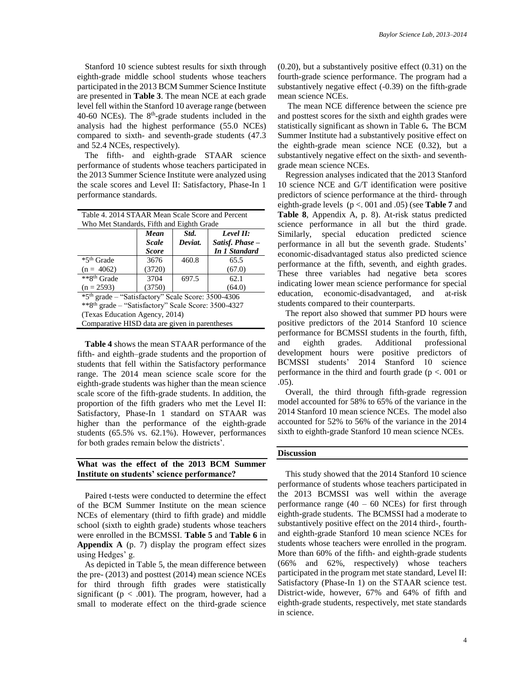Stanford 10 science subtest results for sixth through eighth-grade middle school students whose teachers participated in the 2013 BCM Summer Science Institute are presented in **Table 3**. The mean NCE at each grade level fell within the Stanford 10 average range (between  $40-60$  NCEs). The  $8<sup>th</sup>$ -grade students included in the analysis had the highest performance (55.0 NCEs) compared to sixth- and seventh-grade students (47.3 and 52.4 NCEs, respectively).

The fifth- and eighth-grade STAAR science performance of students whose teachers participated in the 2013 Summer Science Institute were analyzed using the scale scores and Level II: Satisfactory, Phase-In 1 performance standards.

| Table 4. 2014 STAAR Mean Scale Score and Percent               |                                      |         |                 |  |  |  |  |  |  |
|----------------------------------------------------------------|--------------------------------------|---------|-----------------|--|--|--|--|--|--|
| Who Met Standards, Fifth and Eighth Grade                      |                                      |         |                 |  |  |  |  |  |  |
|                                                                | Level II:<br>Std.<br>Mean            |         |                 |  |  |  |  |  |  |
|                                                                | <b>Scale</b>                         | Deviat. | Satisf. Phase - |  |  |  |  |  |  |
|                                                                | <b>In 1 Standard</b><br><b>Score</b> |         |                 |  |  |  |  |  |  |
| *5 <sup>th</sup> Grade                                         | 3676                                 | 460.8   | 65.5            |  |  |  |  |  |  |
| $(n = 4062)$                                                   | (3720)<br>(67.0)                     |         |                 |  |  |  |  |  |  |
| **8 <sup>th</sup> Grade                                        | 3704                                 | 697.5   | 62.1            |  |  |  |  |  |  |
| $(n = 2593)$                                                   | (3750)                               |         | (64.0)          |  |  |  |  |  |  |
| *5 <sup>th</sup> grade - "Satisfactory" Scale Score: 3500-4306 |                                      |         |                 |  |  |  |  |  |  |
| ** 8th grade - "Satisfactory" Scale Score: 3500-4327           |                                      |         |                 |  |  |  |  |  |  |
| (Texas Education Agency, 2014)                                 |                                      |         |                 |  |  |  |  |  |  |
| Comparative HISD data are given in parentheses                 |                                      |         |                 |  |  |  |  |  |  |

**Table 4** shows the mean STAAR performance of the fifth- and eighth–grade students and the proportion of students that fell within the Satisfactory performance range. The 2014 mean science scale score for the eighth-grade students was higher than the mean science scale score of the fifth-grade students. In addition, the proportion of the fifth graders who met the Level II: Satisfactory, Phase-In 1 standard on STAAR was higher than the performance of the eighth-grade students (65.5% vs. 62.1%). However, performances for both grades remain below the districts'.

#### **What was the effect of the 2013 BCM Summer Institute on students' science performance?**

Paired t-tests were conducted to determine the effect of the BCM Summer Institute on the mean science NCEs of elementary (third to fifth grade) and middle school (sixth to eighth grade) students whose teachers were enrolled in the BCMSSI. **Table 5** and **Table 6** in **Appendix A** (p. 7) display the program effect sizes using Hedges' g.

As depicted in Table 5, the mean difference between the pre- (2013) and posttest (2014) mean science NCEs for third through fifth grades were statistically significant ( $p < .001$ ). The program, however, had a small to moderate effect on the third-grade science (0.20), but a substantively positive effect (0.31) on the fourth-grade science performance. The program had a substantively negative effect (-0.39) on the fifth-grade mean science NCEs.

The mean NCE difference between the science pre and posttest scores for the sixth and eighth grades were statistically significant as shown in Table 6**.** The BCM Summer Institute had a substantively positive effect on the eighth-grade mean science NCE (0.32), but a substantively negative effect on the sixth- and seventhgrade mean science NCEs.

Regression analyses indicated that the 2013 Stanford 10 science NCE and G/T identification were positive predictors of science performance at the third- through eighth-grade levels (p <. 001 and .05) (see **Table 7** and **Table 8**, Appendix A, p. 8). At-risk status predicted science performance in all but the third grade. Similarly, special education predicted science performance in all but the seventh grade. Students' economic-disadvantaged status also predicted science performance at the fifth, seventh, and eighth grades. These three variables had negative beta scores indicating lower mean science performance for special education, economic-disadvantaged, and at-risk students compared to their counterparts.

The report also showed that summer PD hours were positive predictors of the 2014 Stanford 10 science performance for BCMSSI students in the fourth, fifth, and eighth grades. Additional professional development hours were positive predictors of BCMSSI students' 2014 Stanford 10 science performance in the third and fourth grade ( $p < 0.001$  or .05).

Overall, the third through fifth-grade regression model accounted for 58% to 65% of the variance in the 2014 Stanford 10 mean science NCEs. The model also accounted for 52% to 56% of the variance in the 2014 sixth to eighth-grade Stanford 10 mean science NCEs.

#### **Discussion**

This study showed that the 2014 Stanford 10 science performance of students whose teachers participated in the 2013 BCMSSI was well within the average performance range  $(40 - 60 \text{ NCEs})$  for first through eighth-grade students. The BCMSSI had a moderate to substantively positive effect on the 2014 third-, fourthand eighth-grade Stanford 10 mean science NCEs for students whose teachers were enrolled in the program. More than 60% of the fifth- and eighth-grade students (66% and 62%, respectively) whose teachers participated in the program met state standard, Level II: Satisfactory (Phase-In 1) on the STAAR science test. District-wide, however, 67% and 64% of fifth and eighth-grade students, respectively, met state standards in science.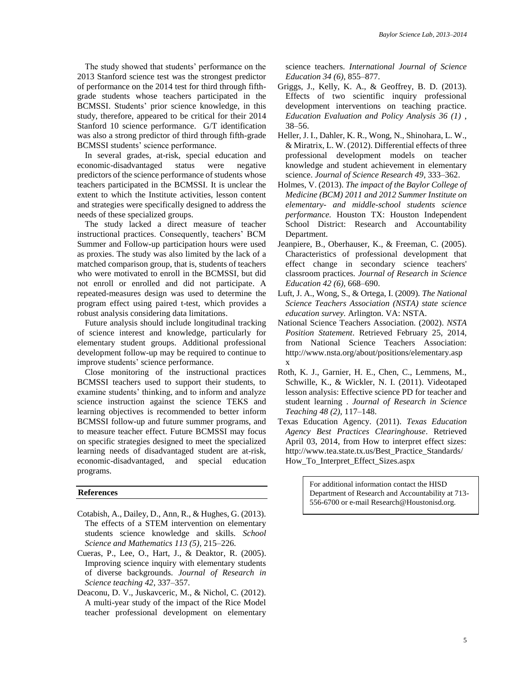The study showed that students' performance on the 2013 Stanford science test was the strongest predictor of performance on the 2014 test for third through fifthgrade students whose teachers participated in the BCMSSI. Students' prior science knowledge, in this study, therefore, appeared to be critical for their 2014 Stanford 10 science performance. G/T identification was also a strong predictor of third through fifth-grade BCMSSI students' science performance.

In several grades, at-risk, special education and economic-disadvantaged status were negative predictors of the science performance of students whose teachers participated in the BCMSSI. It is unclear the extent to which the Institute activities, lesson content and strategies were specifically designed to address the needs of these specialized groups.

The study lacked a direct measure of teacher instructional practices. Consequently, teachers' BCM Summer and Follow-up participation hours were used as proxies. The study was also limited by the lack of a matched comparison group, that is, students of teachers who were motivated to enroll in the BCMSSI, but did not enroll or enrolled and did not participate. A repeated-measures design was used to determine the program effect using paired t-test, which provides a robust analysis considering data limitations.

Future analysis should include longitudinal tracking of science interest and knowledge, particularly for elementary student groups. Additional professional development follow-up may be required to continue to improve students' science performance.

Close monitoring of the instructional practices BCMSSI teachers used to support their students, to examine students' thinking, and to inform and analyze science instruction against the science TEKS and learning objectives is recommended to better inform BCMSSI follow-up and future summer programs, and to measure teacher effect. Future BCMSSI may focus on specific strategies designed to meet the specialized learning needs of disadvantaged student are at-risk, economic-disadvantaged, and special education programs.

#### **References**

- Cotabish, A., Dailey, D., Ann, R., & Hughes, G. (2013). The effects of a STEM intervention on elementary students science knowledge and skills. *School Science and Mathematics 113 (5)*, 215–226.
- Cueras, P., Lee, O., Hart, J., & Deaktor, R. (2005). Improving science inquiry with elementary students of diverse backgrounds. *Journal of Research in Science teaching 42*, 337–357.
- Deaconu, D. V., Juskavceric, M., & Nichol, C. (2012). A multi-year study of the impact of the Rice Model teacher professional development on elementary

science teachers. *International Journal of Science Education 34 (6)*, 855–877.

- Griggs, J., Kelly, K. A., & Geoffrey, B. D. (2013). Effects of two scientific inquiry professional development interventions on teaching practice. *Education Evaluation and Policy Analysis 36 (1)* , 38–56.
- Heller, J. I., Dahler, K. R., Wong, N., Shinohara, L. W., & Miratrix, L. W. (2012). Differential effects of three professional development models on teacher knowledge and student achievement in elementary science. *Journal of Science Research 49*, 333–362.
- Holmes, V. (2013). *The impact of the Baylor College of Medicine (BCM) 2011 and 2012 Summer Institute on elementary- and middle-school students science performance.* Houston TX: Houston Independent School District: Research and Accountability Department.
- Jeanpiere, B., Oberhauser, K., & Freeman, C. (2005). Characteristics of professional development that effect change in secondary science teachers' classroom practices. *Journal of Research in Science Education 42 (6)*, 668–690.
- Luft, J. A., Wong, S., & Ortega, I. (2009). *The National Science Teachers Association (NSTA) state science education survey.* Arlington. VA: NSTA.
- National Science Teachers Association. (2002). *NSTA Position Statement*. Retrieved February 25, 2014, from National Science Teachers Association: http://www.nsta.org/about/positions/elementary.asp x
- Roth, K. J., Garnier, H. E., Chen, C., Lemmens, M., Schwille, K., & Wickler, N. I. (2011). Videotaped lesson analysis: Effective science PD for teacher and student learning . *Journal of Research in Science Teaching 48 (2)*, 117–148.
- Texas Education Agency. (2011). *Texas Education Agency Best Practices Clearinghouse*. Retrieved April 03, 2014, from How to interpret effect sizes: http://www.tea.state.tx.us/Best\_Practice\_Standards/ How\_To\_Interpret\_Effect\_Sizes.aspx

For additional information contact the HISD Department of Research and Accountability at 713- 556-6700 or e-mail Research@Houstonisd.org.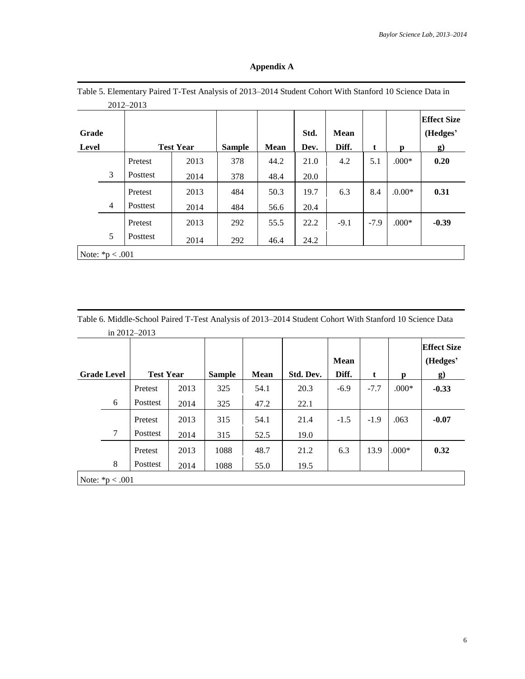|                |   | 2012-2013 |                  |               |             |              |                      |        |          |                                            |
|----------------|---|-----------|------------------|---------------|-------------|--------------|----------------------|--------|----------|--------------------------------------------|
| Grade<br>Level |   |           | <b>Test Year</b> | <b>Sample</b> | <b>Mean</b> | Std.<br>Dev. | <b>Mean</b><br>Diff. | t      | p        | <b>Effect Size</b><br>(Hedges'<br>$\bf{g}$ |
|                |   | Pretest   | 2013             | 378           | 44.2        | 21.0         | 4.2                  | 5.1    | $.000*$  | 0.20                                       |
|                | 3 | Posttest  | 2014             | 378           | 48.4        | 20.0         |                      |        |          |                                            |
|                |   | Pretest   | 2013             | 484           | 50.3        | 19.7         | 6.3                  | 8.4    | $.0.00*$ | 0.31                                       |
|                | 4 | Posttest  | 2014             | 484           | 56.6        | 20.4         |                      |        |          |                                            |
|                |   | Pretest   | 2013             | 292           | 55.5        | 22.2         | $-9.1$               | $-7.9$ | $.000*$  | $-0.39$                                    |
|                | 5 | Posttest  | 2014             | 292           | 46.4        | 24.2         |                      |        |          |                                            |

#### **Appendix A**

Table 6. Middle-School Paired T-Test Analysis of 2013–2014 Student Cohort With Stanford 10 Science Data in 2012–2013

| <b>Grade Level</b> | <b>Test Year</b> |      | <b>Sample</b> | <b>Mean</b> | Std. Dev. | <b>Mean</b><br>Diff. | t      | p       | <b>Effect Size</b><br>(Hedges'<br>g) |
|--------------------|------------------|------|---------------|-------------|-----------|----------------------|--------|---------|--------------------------------------|
|                    | Pretest          | 2013 | 325           | 54.1        | 20.3      | $-6.9$               | $-7.7$ | $.000*$ | $-0.33$                              |
| 6                  | Posttest         | 2014 | 325           | 47.2        | 22.1      |                      |        |         |                                      |
|                    | Pretest          | 2013 | 315           | 54.1        | 21.4      | $-1.5$               | $-1.9$ | .063    | $-0.07$                              |
| 7                  | Posttest         | 2014 | 315           | 52.5        | 19.0      |                      |        |         |                                      |
|                    | Pretest          | 2013 | 1088          | 48.7        | 21.2      | 6.3                  | 13.9   | $.000*$ | 0.32                                 |
| 8                  | Posttest         | 2014 | 1088          | 55.0        | 19.5      |                      |        |         |                                      |
| Note: $*p < .001$  |                  |      |               |             |           |                      |        |         |                                      |